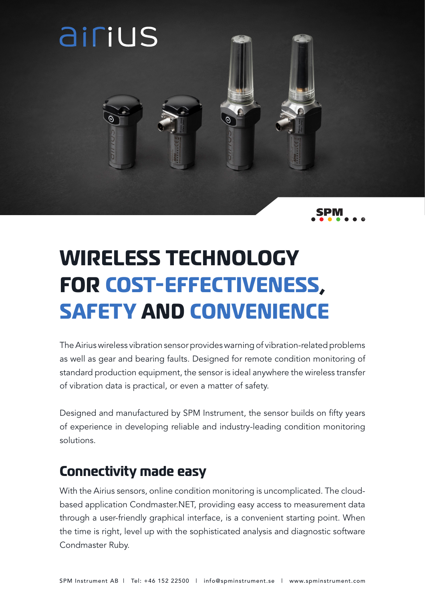

# **WIRELESS TECHNOLOGY FOR COST-EFFECTIVENESS, SAFETY AND CONVENIENCE**

The Airius wireless vibration sensor provides warning of vibration-related problems as well as gear and bearing faults. Designed for remote condition monitoring of standard production equipment, the sensor is ideal anywhere the wireless transfer of vibration data is practical, or even a matter of safety.

Designed and manufactured by SPM Instrument, the sensor builds on fifty years of experience in developing reliable and industry-leading condition monitoring solutions.

#### **Connectivity made easy**

With the Airius sensors, online condition monitoring is uncomplicated. The cloudbased application Condmaster.NET, providing easy access to measurement data through a user-friendly graphical interface, is a convenient starting point. When the time is right, level up with the sophisticated analysis and diagnostic software Condmaster Ruby.